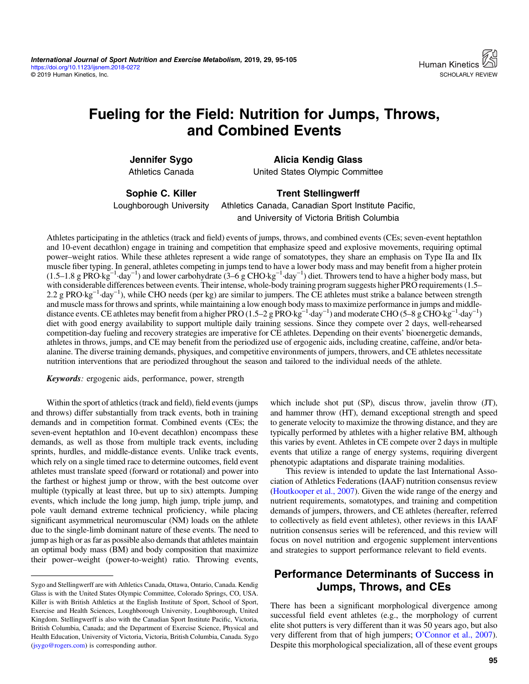# Fueling for the Field: Nutrition for Jumps, Throws, and Combined Events

Jennifer Sygo Athletics Canada

Alicia Kendig Glass United States Olympic Committee

Sophie C. Killer

Loughborough University

Trent Stellingwerff Athletics Canada, Canadian Sport Institute Pacific, and University of Victoria British Columbia

Athletes participating in the athletics (track and field) events of jumps, throws, and combined events (CEs; seven-event heptathlon and 10-event decathlon) engage in training and competition that emphasize speed and explosive movements, requiring optimal power–weight ratios. While these athletes represent a wide range of somatotypes, they share an emphasis on Type IIa and IIx muscle fiber typing. In general, athletes competing in jumps tend to have a lower body mass and may benefit from a higher protein  $(1.5-1.8 \text{ g } ^{-1}$   $\text{day}^{-1})$  and lower carbohydrate  $(3-6 \text{ g } ^{-1}$   $\text{day}^{-1})$  diet. Throwers tend to have a higher body mass, but  $(1.5-1.8 \text{ g } ^{-1}$   $\text{day}^{-1})$  and lower carbohydrate  $(3-6 \text{ g } ^{-1}$   $\text{day}^{-1})$  diet. T with considerable differences between events. Their intense, whole-body training program suggests higher PRO requirements (1.5– <sup>1</sup> and constructed and the cHO needs (per kg) are similar to jumpers. The CE athletes must strike a balance between strength 2.2 g PRO·kg<sup>-1</sup>·day<sup>-1</sup>), while CHO needs (per kg) are similar to jumpers. The CE athletes mu and muscle mass for throws and sprints, while maintaining a low enough body mass to maximize performance in jumps and middledistance events. CE athletes may benefit from a higher PRO (1.5–2 g PRO·kg−<sup>1</sup> ·day−<sup>1</sup> ) and moderate CHO (5–8 g CHO·kg−<sup>1</sup> ·day−<sup>1</sup> ) diet with good energy availability to support multiple daily training sessions. Since they compete over 2 days, well-rehearsed competition-day fueling and recovery strategies are imperative for CE athletes. Depending on their events' bioenergetic demands, athletes in throws, jumps, and CE may benefit from the periodized use of ergogenic aids, including creatine, caffeine, and/or betaalanine. The diverse training demands, physiques, and competitive environments of jumpers, throwers, and CE athletes necessitate nutrition interventions that are periodized throughout the season and tailored to the individual needs of the athlete.

Keywords: ergogenic aids, performance, power, strength

Within the sport of athletics (track and field), field events (jumps and throws) differ substantially from track events, both in training demands and in competition format. Combined events (CEs; the seven-event heptathlon and 10-event decathlon) encompass these demands, as well as those from multiple track events, including sprints, hurdles, and middle-distance events. Unlike track events, which rely on a single timed race to determine outcomes, field event athletes must translate speed (forward or rotational) and power into the farthest or highest jump or throw, with the best outcome over multiple (typically at least three, but up to six) attempts. Jumping events, which include the long jump, high jump, triple jump, and pole vault demand extreme technical proficiency, while placing significant asymmetrical neuromuscular (NM) loads on the athlete due to the single-limb dominant nature of these events. The need to jump as high or as far as possible also demands that athletes maintain an optimal body mass (BM) and body composition that maximize their power–weight (power-to-weight) ratio. Throwing events, which include shot put (SP), discus throw, javelin throw (JT), and hammer throw (HT), demand exceptional strength and speed to generate velocity to maximize the throwing distance, and they are typically performed by athletes with a higher relative BM, although this varies by event. Athletes in CE compete over 2 days in multiple events that utilize a range of energy systems, requiring divergent phenotypic adaptations and disparate training modalities.

This review is intended to update the last International Association of Athletics Federations (IAAF) nutrition consensus review [\(Houtkooper et al., 2007\)](#page-8-0). Given the wide range of the energy and nutrient requirements, somatotypes, and training and competition demands of jumpers, throwers, and CE athletes (hereafter, referred to collectively as field event athletes), other reviews in this IAAF nutrition consensus series will be referenced, and this review will focus on novel nutrition and ergogenic supplement interventions and strategies to support performance relevant to field events.

# Performance Determinants of Success in Jumps, Throws, and CEs

There has been a significant morphological divergence among successful field event athletes (e.g., the morphology of current elite shot putters is very different than it was 50 years ago, but also very different from that of high jumpers; O'[Connor et al., 2007](#page-9-0)). Despite this morphological specialization, all of these event groups

Sygo and Stellingwerff are with Athletics Canada, Ottawa, Ontario, Canada. Kendig Glass is with the United States Olympic Committee, Colorado Springs, CO, USA. Killer is with British Athletics at the English Institute of Sport, School of Sport, Exercise and Health Sciences, Loughborough University, Loughborough, United Kingdom. Stellingwerff is also with the Canadian Sport Institute Pacific, Victoria, British Columbia, Canada; and the Department of Exercise Science, Physical and Health Education, University of Victoria, Victoria, British Columbia, Canada. Sygo ([jsygo@rogers.com](mailto:jsygo@rogers.com)) is corresponding author.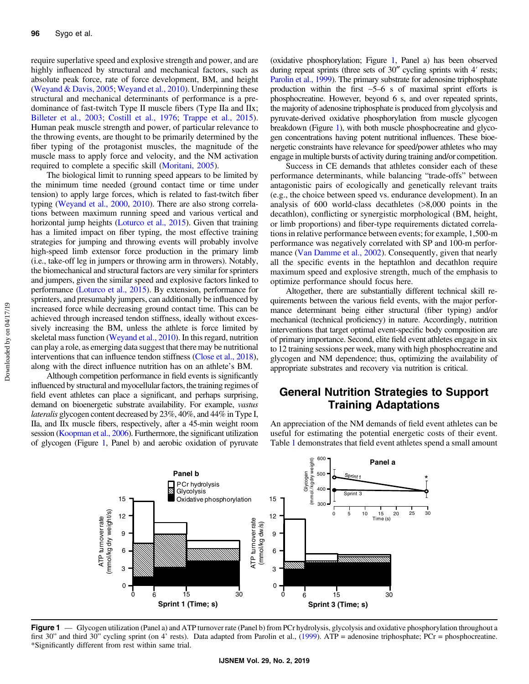require superlative speed and explosive strength and power, and are highly influenced by structural and mechanical factors, such as absolute peak force, rate of force development, BM, and height [\(Weyand & Davis, 2005](#page-10-0); [Weyand et al., 2010\)](#page-10-0). Underpinning these structural and mechanical determinants of performance is a predominance of fast-twitch Type II muscle fibers (Type IIa and IIx; [Billeter et al., 2003](#page-8-0); [Costill et al., 1976](#page-8-0); [Trappe et al., 2015](#page-9-0)). Human peak muscle strength and power, of particular relevance to the throwing events, are thought to be primarily determined by the fiber typing of the protagonist muscles, the magnitude of the muscle mass to apply force and velocity, and the NM activation required to complete a specific skill ([Moritani, 2005](#page-9-0)).

The biological limit to running speed appears to be limited by the minimum time needed (ground contact time or time under tension) to apply large forces, which is related to fast-twitch fiber typing [\(Weyand et al., 2000,](#page-10-0) [2010](#page-10-0)). There are also strong correlations between maximum running speed and various vertical and horizontal jump heights [\(Loturco et al., 2015](#page-9-0)). Given that training has a limited impact on fiber typing, the most effective training strategies for jumping and throwing events will probably involve high-speed limb extensor force production in the primary limb (i.e., take-off leg in jumpers or throwing arm in throwers). Notably, the biomechanical and structural factors are very similar for sprinters and jumpers, given the similar speed and explosive factors linked to performance [\(Loturco et al., 2015\)](#page-9-0). By extension, performance for sprinters, and presumably jumpers, can additionally be influenced by increased force while decreasing ground contact time. This can be achieved through increased tendon stiffness, ideally without excessively increasing the BM, unless the athlete is force limited by skeletal mass function [\(Weyand et al., 2010](#page-10-0)). In this regard, nutrition can play a role, as emerging data suggest that there may be nutritional interventions that can influence tendon stiffness ([Close et al., 2018](#page-8-0)), along with the direct influence nutrition has on an athlete's BM.

Although competition performance in field events is significantly influenced by structural and myocellular factors, the training regimes of field event athletes can place a significant, and perhaps surprising, demand on bioenergetic substrate availability. For example, vastus lateralis glycogen content decreased by 23%, 40%, and 44% in Type I, IIa, and IIx muscle fibers, respectively, after a 45-min weight room session [\(Koopman et al., 2006\)](#page-8-0). Furthermore, the significant utilization of glycogen (Figure 1, Panel b) and aerobic oxidation of pyruvate (oxidative phosphorylation; Figure 1, Panel a) has been observed during repeat sprints (three sets of 30″ cycling sprints with 4′ rests; [Parolin et al., 1999](#page-9-0)). The primary substrate for adenosine triphosphate production within the first ∼5–6 s of maximal sprint efforts is phosphocreatine. However, beyond 6 s, and over repeated sprints, the majority of adenosine triphosphate is produced from glycolysis and pyruvate-derived oxidative phosphorylation from muscle glycogen breakdown (Figure 1), with both muscle phosphocreatine and glycogen concentrations having potent nutritional influences. These bioenergetic constraints have relevance for speed/power athletes who may engage in multiple bursts of activity during training and/or competition.

Success in CE demands that athletes consider each of these performance determinants, while balancing "trade-offs" between antagonistic pairs of ecologically and genetically relevant traits (e.g., the choice between speed vs. endurance development). In an analysis of 600 world-class decathletes (>8,000 points in the decathlon), conflicting or synergistic morphological (BM, height, or limb proportions) and fiber-type requirements dictated correlations in relative performance between events; for example, 1,500-m performance was negatively correlated with SP and 100-m perfor-mance ([Van Damme et al., 2002\)](#page-9-0). Consequently, given that nearly all the specific events in the heptathlon and decathlon require maximum speed and explosive strength, much of the emphasis to optimize performance should focus here.

Altogether, there are substantially different technical skill requirements between the various field events, with the major performance determinant being either structural (fiber typing) and/or mechanical (technical proficiency) in nature. Accordingly, nutrition interventions that target optimal event-specific body composition are of primary importance. Second, elite field event athletes engage in six to 12 training sessions per week, many with high phosphocreatine and glycogen and NM dependence; thus, optimizing the availability of appropriate substrates and recovery via nutrition is critical.

# General Nutrition Strategies to Support Training Adaptations

An appreciation of the NM demands of field event athletes can be useful for estimating the potential energetic costs of their event. Table [1](#page-2-0) demonstrates that field event athletes spend a small amount



Figure 1 — Glycogen utilization (Panel a) and ATP turnover rate (Panel b) from PCr hydrolysis, glycolysis and oxidative phosphorylation throughout a first 30" and third 30" cycling sprint (on 4' rests). Data adapted from Parolin et al., [\(1999\)](#page-9-0). ATP = adenosine triphosphate; PCr = phosphocreatine. \*Significantly different from rest within same trial.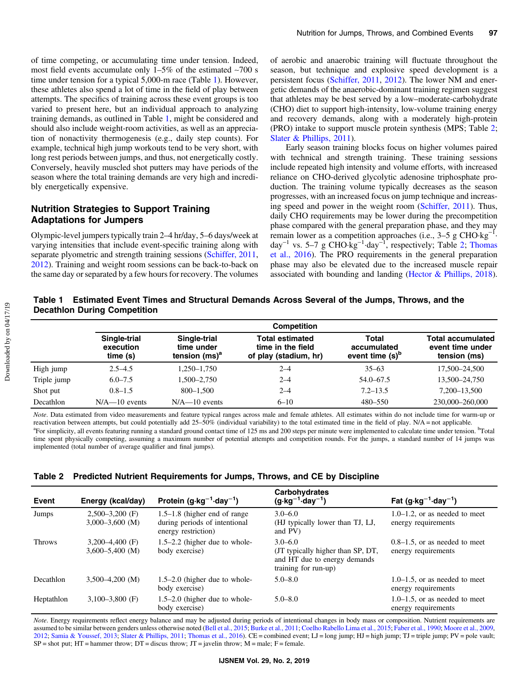<span id="page-2-0"></span>of time competing, or accumulating time under tension. Indeed, most field events accumulate only 1–5% of the estimated ∼700 s time under tension for a typical 5,000-m race (Table 1). However, these athletes also spend a lot of time in the field of play between attempts. The specifics of training across these event groups is too varied to present here, but an individual approach to analyzing training demands, as outlined in Table 1, might be considered and should also include weight-room activities, as well as an appreciation of nonactivity thermogenesis (e.g., daily step counts). For example, technical high jump workouts tend to be very short, with long rest periods between jumps, and thus, not energetically costly. Conversely, heavily muscled shot putters may have periods of the season where the total training demands are very high and incredibly energetically expensive.

# Nutrition Strategies to Support Training Adaptations for Jumpers

Olympic-level jumpers typically train 2–4 hr/day, 5–6 days/week at varying intensities that include event-specific training along with separate plyometric and strength training sessions ([Schiffer, 2011,](#page-9-0) [2012](#page-9-0)). Training and weight room sessions can be back-to-back on the same day or separated by a few hours for recovery. The volumes

of aerobic and anaerobic training will fluctuate throughout the season, but technique and explosive speed development is a persistent focus [\(Schiffer, 2011,](#page-9-0) [2012](#page-9-0)). The lower NM and energetic demands of the anaerobic-dominant training regimen suggest that athletes may be best served by a low–moderate-carbohydrate (CHO) diet to support high-intensity, low-volume training energy and recovery demands, along with a moderately high-protein (PRO) intake to support muscle protein synthesis (MPS; Table 2; [Slater & Phillips, 2011](#page-9-0)).

Early season training blocks focus on higher volumes paired with technical and strength training. These training sessions include repeated high intensity and volume efforts, with increased reliance on CHO-derived glycolytic adenosine triphosphate production. The training volume typically decreases as the season progresses, with an increased focus on jump technique and increasing speed and power in the weight room ([Schiffer, 2011](#page-9-0)). Thus, daily CHO requirements may be lower during the precompetition phase compared with the general preparation phase, and they may remain lower as a competition approaches (i.e.,  $3-5$  g CHO·kg<sup>-1</sup>.  $day^{-1}$  vs. 5–7 g CHO·kg<sup>-1</sup>·day<sup>-1</sup>, respectively; Table 2; [Thomas](#page-9-0) [et al., 2016\)](#page-9-0). The PRO requirements in the general preparation phase may also be elevated due to the increased muscle repair associated with bounding and landing ([Hector & Phillips, 2018](#page-8-0)).

#### Table 1 Estimated Event Times and Structural Demands Across Several of the Jumps, Throws, and the Decathlon During Competition

|             | <b>Competition</b>                   |                                                |                                                                      |                                                            |                                                              |
|-------------|--------------------------------------|------------------------------------------------|----------------------------------------------------------------------|------------------------------------------------------------|--------------------------------------------------------------|
|             | Single-trial<br>execution<br>time(s) | Single-trial<br>time under<br>tension $(ms)^a$ | <b>Total estimated</b><br>time in the field<br>of play (stadium, hr) | <b>Total</b><br>accumulated<br>event time (s) <sup>b</sup> | <b>Total accumulated</b><br>event time under<br>tension (ms) |
| High jump   | $2.5 - 4.5$                          | 1,250-1,750                                    | $2 - 4$                                                              | $35 - 63$                                                  | 17,500-24,500                                                |
| Triple jump | $6.0 - 7.5$                          | 1.500–2.750                                    | $2 - 4$                                                              | $54.0 - 67.5$                                              | 13,500-24,750                                                |
| Shot put    | $0.8 - 1.5$                          | 800-1.500                                      | $2 - 4$                                                              | $7.2 - 13.5$                                               | 7,200-13,500                                                 |
| Decathlon   | $N/A$ -10 events                     | $N/A$ -10 events                               | $6 - 10$                                                             | 480-550                                                    | 230,000-260,000                                              |

Note. Data estimated from video measurements and feature typical ranges across male and female athletes. All estimates within do not include time for warm-up or reactivation between attempts, but could potentially add 25–50% (individual variability) to the total estimated time in the field of play. N/A = not applicable. For simplicity, all events featuring running a standard ground contact time of 125 ms and 200 steps per minute were implemented to calculate time under tension. <sup>b</sup>Total time spent physically competing, assuming a maximum number of potential attempts and competition rounds. For the jumps, a standard number of 14 jumps was implemented (total number of average qualifier and final jumps).

#### Table 2 Predicted Nutrient Requirements for Jumps, Throws, and CE by Discipline

| <b>Event</b>  | Energy (kcal/day)                        | Protein $(g \cdot kg^{-1} \cdot day^{-1})$                                              | Carbohydrates<br>$(g \cdot kg^{-1} \cdot day^{-1})$                                                      | Fat $(g \cdot kg^{-1} \cdot day^{-1})$                  |
|---------------|------------------------------------------|-----------------------------------------------------------------------------------------|----------------------------------------------------------------------------------------------------------|---------------------------------------------------------|
| Jumps         | $2,500-3,200$ (F)<br>$3,000-3,600$ (M)   | $1.5-1.8$ (higher end of range)<br>during periods of intentional<br>energy restriction) | $3.0 - 6.0$<br>(HJ typically lower than TJ, LJ,<br>and PV)                                               | $1.0-1.2$ , or as needed to meet<br>energy requirements |
| <b>Throws</b> | $3,200-4,400$ (F)<br>$3,600 - 5,400$ (M) | $1.5-2.2$ (higher due to whole-<br>body exercise)                                       | $3.0 - 6.0$<br>(JT typically higher than SP, DT,<br>and HT due to energy demands<br>training for run-up) | $0.8-1.5$ , or as needed to meet<br>energy requirements |
| Decathlon     | $3.500 - 4.200$ (M)                      | $1.5-2.0$ (higher due to whole-<br>body exercise)                                       | $5.0 - 8.0$                                                                                              | $1.0-1.5$ , or as needed to meet<br>energy requirements |
| Heptathlon    | $3,100-3,800$ (F)                        | $1.5-2.0$ (higher due to whole-<br>body exercise)                                       | $5.0 - 8.0$                                                                                              | $1.0-1.5$ , or as needed to meet<br>energy requirements |

Note. Energy requirements reflect energy balance and may be adjusted during periods of intentional changes in body mass or composition. Nutrient requirements are assumed to be similar between genders unless otherwise noted [\(Bell et al., 2015](#page-8-0); [Burke et al., 2011;](#page-8-0) [Coelho Rabello Lima et al., 2015;](#page-8-0) [Faber et al., 1990](#page-8-0); [Moore et al., 2009](#page-9-0), [2012;](#page-9-0) [Samia & Youssef, 2013;](#page-9-0) [Slater & Phillips, 2011](#page-9-0); [Thomas et al., 2016\)](#page-9-0). CE = combined event; LJ = long jump; HJ = high jump; TJ = triple jump; PV = pole vault;  $SP = shot put; HT = hammer throw; DT = discus throw; JT = javelin throw; M = male; F = female.$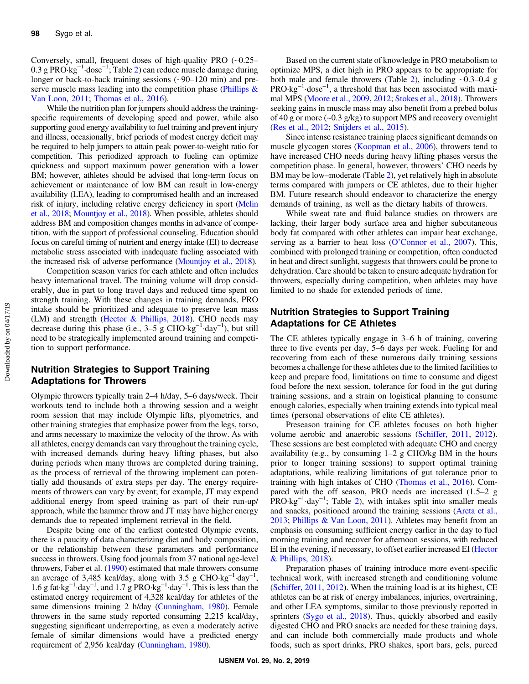Conversely, small, frequent doses of high-quality PRO (∼0.25–  $0.3$  g PRO·kg<sup>-1</sup>·dose<sup>-1</sup>; Table [2](#page-2-0)) can reduce muscle damage during longer or back-to-back training sessions (∼90–120 min) and preserve muscle mass leading into the competition phase (Phillips  $\&$ [Van Loon, 2011;](#page-9-0) [Thomas et al., 2016\)](#page-9-0).

While the nutrition plan for jumpers should address the trainingspecific requirements of developing speed and power, while also supporting good energy availability to fuel training and prevent injury and illness, occasionally, brief periods of modest energy deficit may be required to help jumpers to attain peak power-to-weight ratio for competition. This periodized approach to fueling can optimize quickness and support maximum power generation with a lower BM; however, athletes should be advised that long-term focus on achievement or maintenance of low BM can result in low-energy availability (LEA), leading to compromised health and an increased risk of injury, including relative energy deficiency in sport [\(Melin](#page-9-0) [et al., 2018;](#page-9-0) [Mountjoy et al., 2018](#page-9-0)). When possible, athletes should address BM and composition changes months in advance of competition, with the support of professional counseling. Education should focus on careful timing of nutrient and energy intake (EI) to decrease metabolic stress associated with inadequate fueling associated with the increased risk of adverse performance [\(Mountjoy et al., 2018\)](#page-9-0).

Competition season varies for each athlete and often includes heavy international travel. The training volume will drop considerably, due in part to long travel days and reduced time spent on strength training. With these changes in training demands, PRO intake should be prioritized and adequate to preserve lean mass (LM) and strength (Hector  $&$  Phillips, 2018). CHO needs may decrease during this phase (i.e.,  $3-5 \text{ g }$  CHO·kg<sup>-1</sup>·day<sup>-1</sup>), but still need to be strategically implemented around training and competition to support performance.

#### Nutrition Strategies to Support Training Adaptations for Throwers

Olympic throwers typically train 2–4 h/day, 5–6 days/week. Their workouts tend to include both a throwing session and a weight room session that may include Olympic lifts, plyometrics, and other training strategies that emphasize power from the legs, torso, and arms necessary to maximize the velocity of the throw. As with all athletes, energy demands can vary throughout the training cycle, with increased demands during heavy lifting phases, but also during periods when many throws are completed during training, as the process of retrieval of the throwing implement can potentially add thousands of extra steps per day. The energy requirements of throwers can vary by event; for example, JT may expend additional energy from speed training as part of their run-up/ approach, while the hammer throw and JT may have higher energy demands due to repeated implement retrieval in the field.

Despite being one of the earliest contested Olympic events, there is a paucity of data characterizing diet and body composition, or the relationship between these parameters and performance success in throwers. Using food journals from 37 national age-level throwers, Faber et al. [\(1990\)](#page-8-0) estimated that male throwers consume an average of 3,485 kcal/day, along with 3.5 g CHO·kg<sup>-1</sup>·day<sup>-1</sup>, 1.6 g fat·kg<sup>-1</sup>·day<sup>-1</sup>, and 1.7 g PRO·kg<sup>-1</sup>·day<sup>-1</sup>. This is less than the estimated energy requirement of 4,328 kcal/day for athletes of the same dimensions training 2 h/day ([Cunningham, 1980](#page-8-0)). Female throwers in the same study reported consuming 2,215 kcal/day, suggesting significant underreporting, as even a moderately active female of similar dimensions would have a predicted energy requirement of 2,956 kcal/day [\(Cunningham, 1980\)](#page-8-0).

Based on the current state of knowledge in PRO metabolism to optimize MPS, a diet high in PRO appears to be appropriate for both male and female throwers (Table [2](#page-2-0)), including ∼0.3–0.4 g PRO·kg<sup>-1</sup>·dose<sup>-1</sup>, a threshold that has been associated with maximal MPS [\(Moore et al., 2009,](#page-9-0) [2012;](#page-9-0) [Stokes et al., 2018](#page-9-0)). Throwers seeking gains in muscle mass may also benefit from a prebed bolus of 40 g or more (∼0.3 g/kg) to support MPS and recovery overnight [\(Res et al., 2012](#page-9-0); [Snijders et al., 2015\)](#page-9-0).

Since intense resistance training places significant demands on muscle glycogen stores [\(Koopman et al., 2006](#page-8-0)), throwers tend to have increased CHO needs during heavy lifting phases versus the competition phase. In general, however, throwers' CHO needs by BM may be low–moderate (Table [2](#page-2-0)), yet relatively high in absolute terms compared with jumpers or CE athletes, due to their higher BM. Future research should endeavor to characterize the energy demands of training, as well as the dietary habits of throwers.

While sweat rate and fluid balance studies on throwers are lacking, their larger body surface area and higher subcutaneous body fat compared with other athletes can impair heat exchange, serving as a barrier to heat loss (O'[Connor et al., 2007\)](#page-9-0). This, combined with prolonged training or competition, often conducted in heat and direct sunlight, suggests that throwers could be prone to dehydration. Care should be taken to ensure adequate hydration for throwers, especially during competition, when athletes may have limited to no shade for extended periods of time.

#### Nutrition Strategies to Support Training Adaptations for CE Athletes

The CE athletes typically engage in 3–6 h of training, covering three to five events per day, 5–6 days per week. Fueling for and recovering from each of these numerous daily training sessions becomes a challenge for these athletes due to the limited facilities to keep and prepare food, limitations on time to consume and digest food before the next session, tolerance for food in the gut during training sessions, and a strain on logistical planning to consume enough calories, especially when training extends into typical meal times (personal observations of elite CE athletes).

Preseason training for CE athletes focuses on both higher volume aerobic and anaerobic sessions [\(Schiffer, 2011](#page-9-0), [2012](#page-9-0)). These sessions are best completed with adequate CHO and energy availability (e.g., by consuming 1–2 g CHO/kg BM in the hours prior to longer training sessions) to support optimal training adaptations, while realizing limitations of gut tolerance prior to training with high intakes of CHO ([Thomas et al., 2016\)](#page-9-0). Compared with the off season, PRO needs are increased (1.5–2 g PRO·kg<sup>-1</sup>·day<sup>-1</sup>; Table [2\)](#page-2-0), with intakes split into smaller meals and snacks, positioned around the training sessions [\(Areta et al.,](#page-8-0) [2013](#page-8-0); [Phillips & Van Loon, 2011](#page-9-0)). Athletes may benefit from an emphasis on consuming sufficient energy earlier in the day to fuel morning training and recover for afternoon sessions, with reduced EI in the evening, if necessary, to offset earlier increased EI [\(Hector](#page-8-0) [& Phillips, 2018](#page-8-0)).

Preparation phases of training introduce more event-specific technical work, with increased strength and conditioning volume [\(Schiffer, 2011,](#page-9-0) [2012\)](#page-9-0). When the training load is at its highest, CE athletes can be at risk of energy imbalances, injuries, overtraining, and other LEA symptoms, similar to those previously reported in sprinters [\(Sygo et al., 2018](#page-9-0)). Thus, quickly absorbed and easily digested CHO and PRO snacks are needed for these training days, and can include both commercially made products and whole foods, such as sport drinks, PRO shakes, sport bars, gels, pureed

Downloaded by on 04/17/19 Downloaded by on 04/17/19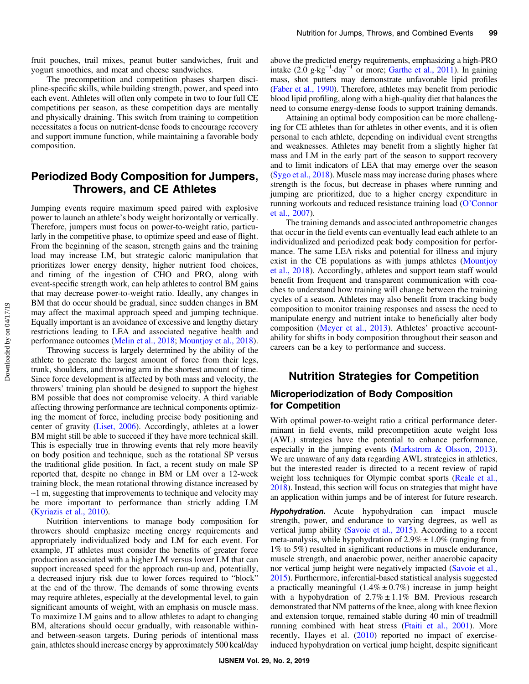fruit pouches, trail mixes, peanut butter sandwiches, fruit and yogurt smoothies, and meat and cheese sandwiches.

The precompetition and competition phases sharpen discipline-specific skills, while building strength, power, and speed into each event. Athletes will often only compete in two to four full CE competitions per season, as these competition days are mentally and physically draining. This switch from training to competition necessitates a focus on nutrient-dense foods to encourage recovery and support immune function, while maintaining a favorable body composition.

# Periodized Body Composition for Jumpers, Throwers, and CE Athletes

Jumping events require maximum speed paired with explosive power to launch an athlete's body weight horizontally or vertically. Therefore, jumpers must focus on power-to-weight ratio, particularly in the competitive phase, to optimize speed and ease of flight. From the beginning of the season, strength gains and the training load may increase LM, but strategic caloric manipulation that prioritizes lower energy density, higher nutrient food choices, and timing of the ingestion of CHO and PRO, along with event-specific strength work, can help athletes to control BM gains that may decrease power-to-weight ratio. Ideally, any changes in BM that do occur should be gradual, since sudden changes in BM may affect the maximal approach speed and jumping technique. Equally important is an avoidance of excessive and lengthy dietary restrictions leading to LEA and associated negative health and performance outcomes [\(Melin et al., 2018](#page-9-0); [Mountjoy et al., 2018](#page-9-0)).

Throwing success is largely determined by the ability of the athlete to generate the largest amount of force from their legs, trunk, shoulders, and throwing arm in the shortest amount of time. Since force development is affected by both mass and velocity, the throwers' training plan should be designed to support the highest BM possible that does not compromise velocity. A third variable affecting throwing performance are technical components optimizing the moment of force, including precise body positioning and center of gravity [\(Liset, 2006](#page-9-0)). Accordingly, athletes at a lower BM might still be able to succeed if they have more technical skill. This is especially true in throwing events that rely more heavily on body position and technique, such as the rotational SP versus the traditional glide position. In fact, a recent study on male SP reported that, despite no change in BM or LM over a 12-week training block, the mean rotational throwing distance increased by ∼1 m, suggesting that improvements to technique and velocity may be more important to performance than strictly adding LM [\(Kyriazis et al., 2010\)](#page-8-0).

Nutrition interventions to manage body composition for throwers should emphasize meeting energy requirements and appropriately individualized body and LM for each event. For example, JT athletes must consider the benefits of greater force production associated with a higher LM versus lower LM that can support increased speed for the approach run-up and, potentially, a decreased injury risk due to lower forces required to "block" at the end of the throw. The demands of some throwing events may require athletes, especially at the developmental level, to gain significant amounts of weight, with an emphasis on muscle mass. To maximize LM gains and to allow athletes to adapt to changing BM, alterations should occur gradually, with reasonable withinand between-season targets. During periods of intentional mass gain, athletes should increase energy by approximately 500 kcal/day above the predicted energy requirements, emphasizing a high-PRO intake  $(2.0 \text{ g} \cdot \text{kg}^{-1} \cdot \text{day}^{-1})$  or more; [Garthe et al., 2011\)](#page-8-0). In gaining mass, shot putters may demonstrate unfavorable lipid profiles [\(Faber et al., 1990](#page-8-0)). Therefore, athletes may benefit from periodic blood lipid profiling, along with a high-quality diet that balances the need to consume energy-dense foods to support training demands.

Attaining an optimal body composition can be more challenging for CE athletes than for athletes in other events, and it is often personal to each athlete, depending on individual event strengths and weaknesses. Athletes may benefit from a slightly higher fat mass and LM in the early part of the season to support recovery and to limit indicators of LEA that may emerge over the season [\(Sygo et al., 2018\)](#page-9-0). Muscle mass may increase during phases where strength is the focus, but decrease in phases where running and jumping are prioritized, due to a higher energy expenditure in running workouts and reduced resistance training load (O'[Connor](#page-9-0) [et al., 2007\)](#page-9-0).

The training demands and associated anthropometric changes that occur in the field events can eventually lead each athlete to an individualized and periodized peak body composition for performance. The same LEA risks and potential for illness and injury exist in the CE populations as with jumps athletes [\(Mountjoy](#page-9-0) [et al., 2018\)](#page-9-0). Accordingly, athletes and support team staff would benefit from frequent and transparent communication with coaches to understand how training will change between the training cycles of a season. Athletes may also benefit from tracking body composition to monitor training responses and assess the need to manipulate energy and nutrient intake to beneficially alter body composition [\(Meyer et al., 2013\)](#page-9-0). Athletes' proactive accountability for shifts in body composition throughout their season and careers can be a key to performance and success.

# Nutrition Strategies for Competition

#### Microperiodization of Body Composition for Competition

With optimal power-to-weight ratio a critical performance determinant in field events, mild precompetition acute weight loss (AWL) strategies have the potential to enhance performance, especially in the jumping events ([Markstrom & Olsson, 2013](#page-9-0)). We are unaware of any data regarding AWL strategies in athletics, but the interested reader is directed to a recent review of rapid weight loss techniques for Olympic combat sports ([Reale et al.,](#page-9-0) [2018](#page-9-0)). Instead, this section will focus on strategies that might have an application within jumps and be of interest for future research.

**Hypohydration.** Acute hypohydration can impact muscle strength, power, and endurance to varying degrees, as well as vertical jump ability ([Savoie et al., 2015](#page-9-0)). According to a recent meta-analysis, while hypohydration of  $2.9\% \pm 1.0\%$  (ranging from 1% to 5%) resulted in significant reductions in muscle endurance, muscle strength, and anaerobic power, neither anaerobic capacity nor vertical jump height were negatively impacted [\(Savoie et al.,](#page-9-0) [2015](#page-9-0)). Furthermore, inferential-based statistical analysis suggested a practically meaningful  $(1.4\% \pm 0.7\%)$  increase in jump height with a hypohydration of  $2.7\% \pm 1.1\%$  BM. Previous research demonstrated that NM patterns of the knee, along with knee flexion and extension torque, remained stable during 40 min of treadmill running combined with heat stress [\(Ftaiti et al., 2001\)](#page-8-0). More recently, Hayes et al. ([2010\)](#page-8-0) reported no impact of exerciseinduced hypohydration on vertical jump height, despite significant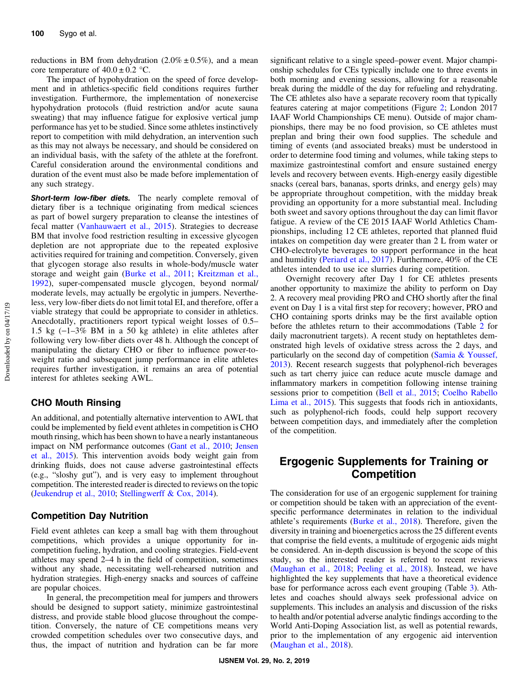reductions in BM from dehydration  $(2.0\% \pm 0.5\%)$ , and a mean core temperature of  $40.0 \pm 0.2$  °C.

The impact of hypohydration on the speed of force development and in athletics-specific field conditions requires further investigation. Furthermore, the implementation of nonexercise hypohydration protocols (fluid restriction and/or acute sauna sweating) that may influence fatigue for explosive vertical jump performance has yet to be studied. Since some athletes instinctively report to competition with mild dehydration, an intervention such as this may not always be necessary, and should be considered on an individual basis, with the safety of the athlete at the forefront. Careful consideration around the environmental conditions and duration of the event must also be made before implementation of any such strategy.

Short-term low-fiber diets. The nearly complete removal of dietary fiber is a technique originating from medical sciences as part of bowel surgery preparation to cleanse the intestines of fecal matter ([Vanhauwaert et al., 2015\)](#page-10-0). Strategies to decrease BM that involve food restriction resulting in excessive glycogen depletion are not appropriate due to the repeated explosive activities required for training and competition. Conversely, given that glycogen storage also results in whole-body/muscle water storage and weight gain ([Burke et al., 2011;](#page-8-0) [Kreitzman et al.,](#page-8-0) [1992](#page-8-0)), super-compensated muscle glycogen, beyond normal/ moderate levels, may actually be ergolytic in jumpers. Nevertheless, very low-fiber diets do not limit total EI, and therefore, offer a viable strategy that could be appropriate to consider in athletics. Anecdotally, practitioners report typical weight losses of 0.5– 1.5 kg (−1–3% BM in a 50 kg athlete) in elite athletes after following very low-fiber diets over 48 h. Although the concept of manipulating the dietary CHO or fiber to influence power-toweight ratio and subsequent jump performance in elite athletes requires further investigation, it remains an area of potential interest for athletes seeking AWL.

#### CHO Mouth Rinsing

An additional, and potentially alternative intervention to AWL that could be implemented by field event athletes in competition is CHO mouth rinsing, which has been shown to have a nearly instantaneous impact on NM performance outcomes [\(Gant et al., 2010](#page-8-0); [Jensen](#page-8-0) [et al., 2015\)](#page-8-0). This intervention avoids body weight gain from drinking fluids, does not cause adverse gastrointestinal effects (e.g., "sloshy gut"), and is very easy to implement throughout competition. The interested reader is directed to reviews on the topic [\(Jeukendrup et al., 2010](#page-8-0); [Stellingwerff & Cox, 2014\)](#page-9-0).

#### Competition Day Nutrition

Field event athletes can keep a small bag with them throughout competitions, which provides a unique opportunity for incompetition fueling, hydration, and cooling strategies. Field-event athletes may spend 2–4 h in the field of competition, sometimes without any shade, necessitating well-rehearsed nutrition and hydration strategies. High-energy snacks and sources of caffeine are popular choices.

In general, the precompetition meal for jumpers and throwers should be designed to support satiety, minimize gastrointestinal distress, and provide stable blood glucose throughout the competition. Conversely, the nature of CE competitions means very crowded competition schedules over two consecutive days, and thus, the impact of nutrition and hydration can be far more significant relative to a single speed–power event. Major championship schedules for CEs typically include one to three events in both morning and evening sessions, allowing for a reasonable break during the middle of the day for refueling and rehydrating. The CE athletes also have a separate recovery room that typically features catering at major competitions (Figure [2](#page-6-0); London 2017 IAAF World Championships CE menu). Outside of major championships, there may be no food provision, so CE athletes must preplan and bring their own food supplies. The schedule and timing of events (and associated breaks) must be understood in order to determine food timing and volumes, while taking steps to maximize gastrointestinal comfort and ensure sustained energy levels and recovery between events. High-energy easily digestible snacks (cereal bars, bananas, sports drinks, and energy gels) may be appropriate throughout competition, with the midday break providing an opportunity for a more substantial meal. Including both sweet and savory options throughout the day can limit flavor fatigue. A review of the CE 2015 IAAF World Athletics Championships, including 12 CE athletes, reported that planned fluid intakes on competition day were greater than 2 L from water or CHO-electrolyte beverages to support performance in the heat and humidity [\(Periard et al., 2017\)](#page-9-0). Furthermore, 40% of the CE athletes intended to use ice slurries during competition.

Overnight recovery after Day 1 for CE athletes presents another opportunity to maximize the ability to perform on Day 2. A recovery meal providing PRO and CHO shortly after the final event on Day 1 is a vital first step for recovery; however, PRO and CHO containing sports drinks may be the first available option before the athletes return to their accommodations (Table [2](#page-2-0) for daily macronutrient targets). A recent study on heptathletes demonstrated high levels of oxidative stress across the 2 days, and particularly on the second day of competition ([Samia & Youssef,](#page-9-0) [2013](#page-9-0)). Recent research suggests that polyphenol-rich beverages such as tart cherry juice can reduce acute muscle damage and inflammatory markers in competition following intense training sessions prior to competition ([Bell et al., 2015;](#page-8-0) [Coelho Rabello](#page-8-0) [Lima et al., 2015\)](#page-8-0). This suggests that foods rich in antioxidants, such as polyphenol-rich foods, could help support recovery between competition days, and immediately after the completion of the competition.

# Ergogenic Supplements for Training or Competition

The consideration for use of an ergogenic supplement for training or competition should be taken with an appreciation of the eventspecific performance determinates in relation to the individual athlete's requirements ([Burke et al., 2018](#page-8-0)). Therefore, given the diversity in training and bioenergetics across the 25 different events that comprise the field events, a multitude of ergogenic aids might be considered. An in-depth discussion is beyond the scope of this study, so the interested reader is referred to recent reviews [\(Maughan et al., 2018](#page-9-0); [Peeling et al., 2018\)](#page-9-0). Instead, we have highlighted the key supplements that have a theoretical evidence base for performance across each event grouping (Table [3\)](#page-6-0). Athletes and coaches should always seek professional advice on supplements. This includes an analysis and discussion of the risks to health and/or potential adverse analytic findings according to the World Anti-Doping Association list, as well as potential rewards, prior to the implementation of any ergogenic aid intervention [\(Maughan et al., 2018\)](#page-9-0).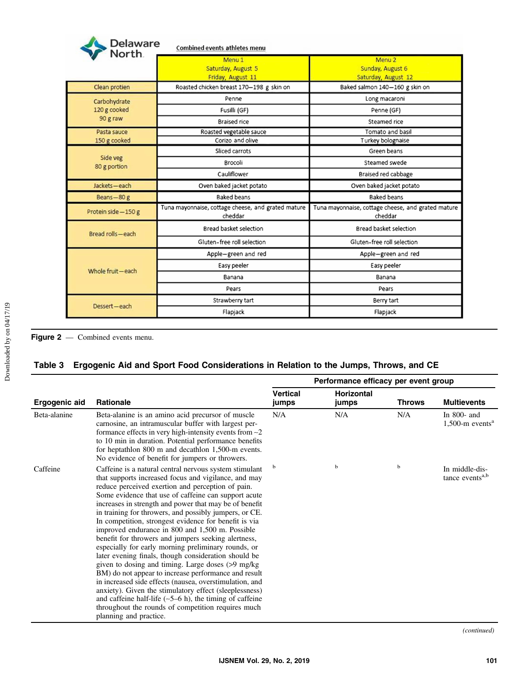<span id="page-6-0"></span>

| Delaware<br>North. | <b>Combined events athletes menu</b>                          |                                                               |  |  |
|--------------------|---------------------------------------------------------------|---------------------------------------------------------------|--|--|
|                    | Menu <sub>1</sub><br>Saturday, August 5<br>Friday, August 11  | Menu <sub>2</sub><br>Sunday, August 6<br>Saturday, August 12  |  |  |
| Clean protien      | Roasted chicken breast 170-198 g skin on                      | Baked salmon 140-160 g skin on                                |  |  |
| Carbohydrate       | Penne                                                         | Long macaroni                                                 |  |  |
| 120 g cooked       | Fusilli (GF)                                                  | Penne (GF)                                                    |  |  |
| 90 g raw           | <b>Braised rice</b>                                           | Steamed rice                                                  |  |  |
| Pasta sauce        | Roasted vegetable sauce                                       | Tomato and basil                                              |  |  |
| 150 g cooked       | Corizo and olive                                              | Turkey bolognaise                                             |  |  |
| Side veg           | Sliced carrots                                                | Green beans                                                   |  |  |
| 80 g portion       | Brocoli                                                       | Steamed swede                                                 |  |  |
|                    | Cauliflower                                                   | Braised red cabbage                                           |  |  |
| Jackets-each       | Oven baked jacket potato                                      | Oven baked jacket potato                                      |  |  |
| Beans-80 g         | <b>Baked beans</b>                                            | <b>Baked beans</b>                                            |  |  |
| Protein side-150 g | Tuna mayonnaise, cottage cheese, and grated mature<br>cheddar | Tuna mayonnaise, cottage cheese, and grated mature<br>cheddar |  |  |
| Bread rolls-each   | Bread basket selection                                        | Bread basket selection                                        |  |  |
|                    | Gluten-free roll selection                                    | Gluten-free roll selection                                    |  |  |
|                    | Apple-green and red                                           | Apple-green and red                                           |  |  |
| Whole fruit-each   | Easy peeler                                                   | Easy peeler                                                   |  |  |
|                    | Banana                                                        | Banana                                                        |  |  |
|                    | Pears                                                         | Pears                                                         |  |  |
|                    | Strawberry tart                                               | Berry tart                                                    |  |  |
| Dessert-each       | Flapjack                                                      | Flapjack                                                      |  |  |

Figure 2 — Combined events menu.

# Table 3 Ergogenic Aid and Sport Food Considerations in Relation to the Jumps, Throws, and CE

|                      |                                                                                                                                                                                                                                                                                                                                                                                                                                                                                                                                                                                                                                                                                                                                                                                                                                                                                                                                                                                                                  | Performance efficacy per event group |                            |               |                                                  |
|----------------------|------------------------------------------------------------------------------------------------------------------------------------------------------------------------------------------------------------------------------------------------------------------------------------------------------------------------------------------------------------------------------------------------------------------------------------------------------------------------------------------------------------------------------------------------------------------------------------------------------------------------------------------------------------------------------------------------------------------------------------------------------------------------------------------------------------------------------------------------------------------------------------------------------------------------------------------------------------------------------------------------------------------|--------------------------------------|----------------------------|---------------|--------------------------------------------------|
| <b>Ergogenic aid</b> | Rationale                                                                                                                                                                                                                                                                                                                                                                                                                                                                                                                                                                                                                                                                                                                                                                                                                                                                                                                                                                                                        | <b>Vertical</b><br>jumps             | <b>Horizontal</b><br>jumps | <b>Throws</b> | <b>Multievents</b>                               |
| Beta-alanine         | Beta-alanine is an amino acid precursor of muscle<br>carnosine, an intramuscular buffer with largest per-<br>formance effects in very high-intensity events from $\sim$ 2<br>to 10 min in duration. Potential performance benefits<br>for heptathlon 800 m and decathlon 1,500-m events.<br>No evidence of benefit for jumpers or throwers.                                                                                                                                                                                                                                                                                                                                                                                                                                                                                                                                                                                                                                                                      | N/A                                  | N/A                        | N/A           | In $800$ - and<br>$1,500$ -m events <sup>a</sup> |
| Caffeine             | Caffeine is a natural central nervous system stimulant<br>that supports increased focus and vigilance, and may<br>reduce perceived exertion and perception of pain.<br>Some evidence that use of caffeine can support acute<br>increases in strength and power that may be of benefit<br>in training for throwers, and possibly jumpers, or CE.<br>In competition, strongest evidence for benefit is via<br>improved endurance in 800 and 1,500 m. Possible<br>benefit for throwers and jumpers seeking alertness,<br>especially for early morning preliminary rounds, or<br>later evening finals, though consideration should be<br>given to dosing and timing. Large doses (>9 mg/kg)<br>BM) do not appear to increase performance and result<br>in increased side effects (nausea, overstimulation, and<br>anxiety). Given the stimulatory effect (sleeplessness)<br>and caffeine half-life $(-5-6)$ , the timing of caffeine<br>throughout the rounds of competition requires much<br>planning and practice. | b                                    | b                          | $\mathbf b$   | In middle-dis-<br>tance events <sup>a,b</sup>    |

(continued)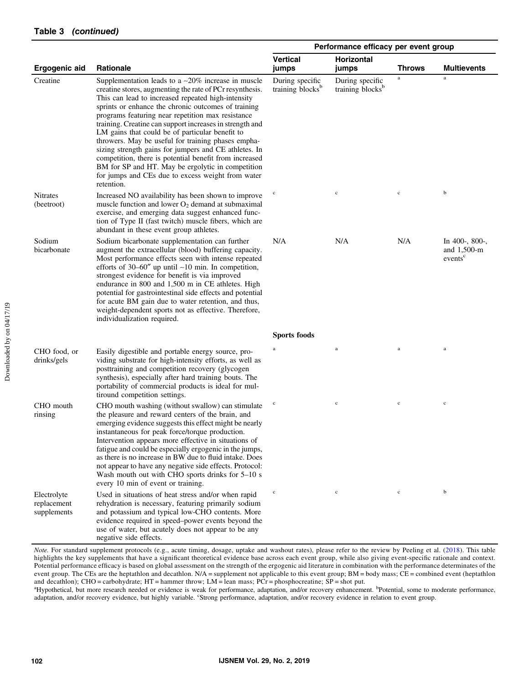|                                           |                                                                                                                                                                                                                                                                                                                                                                                                                                                                                                                                                                                                                                                                                                        | Performance efficacy per event group            |                                                 |               |                                                            |
|-------------------------------------------|--------------------------------------------------------------------------------------------------------------------------------------------------------------------------------------------------------------------------------------------------------------------------------------------------------------------------------------------------------------------------------------------------------------------------------------------------------------------------------------------------------------------------------------------------------------------------------------------------------------------------------------------------------------------------------------------------------|-------------------------------------------------|-------------------------------------------------|---------------|------------------------------------------------------------|
| <b>Ergogenic aid</b>                      | <b>Rationale</b>                                                                                                                                                                                                                                                                                                                                                                                                                                                                                                                                                                                                                                                                                       | <b>Vertical</b><br>jumps                        | Horizontal<br>jumps                             | <b>Throws</b> | <b>Multievents</b>                                         |
| Creatine                                  | Supplementation leads to a $\sim$ 20% increase in muscle<br>creatine stores, augmenting the rate of PCr resynthesis.<br>This can lead to increased repeated high-intensity<br>sprints or enhance the chronic outcomes of training<br>programs featuring near repetition max resistance<br>training. Creatine can support increases in strength and<br>LM gains that could be of particular benefit to<br>throwers. May be useful for training phases empha-<br>sizing strength gains for jumpers and CE athletes. In<br>competition, there is potential benefit from increased<br>BM for SP and HT. May be ergolytic in competition<br>for jumps and CEs due to excess weight from water<br>retention. | During specific<br>training blocks <sup>b</sup> | During specific<br>training blocks <sup>b</sup> | $\mathbf a$   | $\mathbf{a}$                                               |
| <b>Nitrates</b><br>(beetroot)             | Increased NO availability has been shown to improve<br>muscle function and lower $O_2$ demand at submaximal<br>exercise, and emerging data suggest enhanced func-<br>tion of Type II (fast twitch) muscle fibers, which are<br>abundant in these event group athletes.                                                                                                                                                                                                                                                                                                                                                                                                                                 | $^{\rm c}$                                      | $\mathbf c$                                     | $\mathbf c$   | b                                                          |
| Sodium<br>bicarbonate                     | Sodium bicarbonate supplementation can further<br>augment the extracellular (blood) buffering capacity.<br>Most performance effects seen with intense repeated<br>efforts of $30-60''$ up until $\sim 10$ min. In competition,<br>strongest evidence for benefit is via improved<br>endurance in 800 and 1,500 m in CE athletes. High<br>potential for gastrointestinal side effects and potential<br>for acute BM gain due to water retention, and thus,<br>weight-dependent sports not as effective. Therefore,<br>individualization required.                                                                                                                                                       | N/A                                             | N/A                                             | N/A           | In $400-$ , $800-$ ,<br>and 1,500-m<br>events <sup>c</sup> |
|                                           |                                                                                                                                                                                                                                                                                                                                                                                                                                                                                                                                                                                                                                                                                                        | Sports foods                                    |                                                 |               |                                                            |
| CHO food, or<br>drinks/gels               | Easily digestible and portable energy source, pro-<br>viding substrate for high-intensity efforts, as well as<br>posttraining and competition recovery (glycogen<br>synthesis), especially after hard training bouts. The<br>portability of commercial products is ideal for mul-<br>tiround competition settings.                                                                                                                                                                                                                                                                                                                                                                                     | a                                               | $\rm{a}$                                        | $\rm{a}$      | $\rm{a}$                                                   |
| CHO mouth<br>rinsing                      | CHO mouth washing (without swallow) can stimulate<br>the pleasure and reward centers of the brain, and<br>emerging evidence suggests this effect might be nearly<br>instantaneous for peak force/torque production.<br>Intervention appears more effective in situations of<br>fatigue and could be especially ergogenic in the jumps,<br>as there is no increase in BW due to fluid intake. Does<br>not appear to have any negative side effects. Protocol:<br>Wash mouth out with CHO sports drinks for 5-10 s<br>every 10 min of event or training.                                                                                                                                                 | $^{\rm c}$                                      | $\mathbf c$                                     | $\mathbf c$   | $\mathbf c$                                                |
| Electrolyte<br>replacement<br>supplements | Used in situations of heat stress and/or when rapid<br>rehydration is necessary, featuring primarily sodium<br>and potassium and typical low-CHO contents. More<br>evidence required in speed-power events beyond the<br>use of water, but acutely does not appear to be any<br>negative side effects.                                                                                                                                                                                                                                                                                                                                                                                                 | $\mathbf c$                                     | $\mathbf c$                                     | $\mathbf c$   | $\mathbf b$                                                |

Note. For standard supplement protocols (e.g., acute timing, dosage, uptake and washout rates), please refer to the review by Peeling et al. ([2018\)](#page-9-0). This table highlights the key supplements that have a significant theoretical evidence base across each event group, while also giving event-specific rationale and context. Potential performance efficacy is based on global assessment on the strength of the ergogenic aid literature in combination with the performance determinates of the event group. The CEs are the heptathlon and decathlon. N/A = supplement not applicable to this event group; BM = body mass; CE = combined event (heptathlon and decathlon); CHO = carbohydrate; HT = hammer throw; LM = lean mass; PCr = phosphocreatine; SP = shot put.

<sup>a</sup>Hypothetical, but more research needed or evidence is weak for performance, adaptation, and/or recovery enhancement. <sup>b</sup>Potential, some to moderate performance, adaptation, and/or recovery evidence, but highly variable. "Strong performance, adaptation, and/or recovery evidence in relation to event group.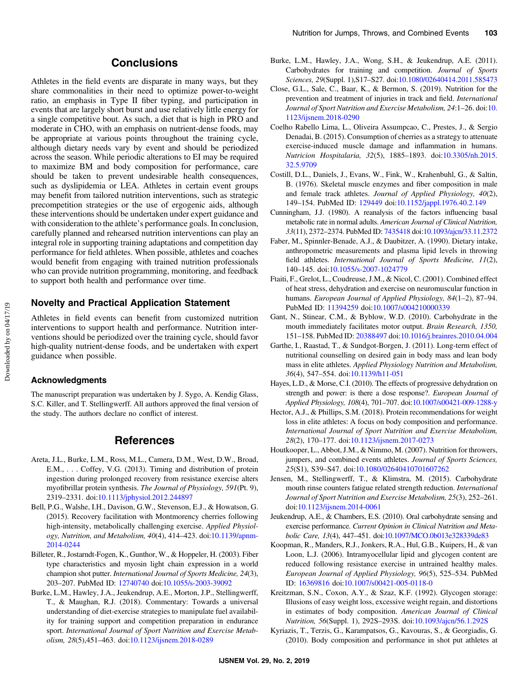### **Conclusions**

<span id="page-8-0"></span>Athletes in the field events are disparate in many ways, but they share commonalities in their need to optimize power-to-weight ratio, an emphasis in Type II fiber typing, and participation in events that are largely short burst and use relatively little energy for a single competitive bout. As such, a diet that is high in PRO and moderate in CHO, with an emphasis on nutrient-dense foods, may be appropriate at various points throughout the training cycle, although dietary needs vary by event and should be periodized across the season. While periodic alterations to EI may be required to maximize BM and body composition for performance, care should be taken to prevent undesirable health consequences, such as dyslipidemia or LEA. Athletes in certain event groups may benefit from tailored nutrition interventions, such as strategic precompetition strategies or the use of ergogenic aids, although these interventions should be undertaken under expert guidance and with consideration to the athlete's performance goals. In conclusion, carefully planned and rehearsed nutrition interventions can play an integral role in supporting training adaptations and competition day performance for field athletes. When possible, athletes and coaches would benefit from engaging with trained nutrition professionals who can provide nutrition programming, monitoring, and feedback to support both health and performance over time.

#### Novelty and Practical Application Statement

Athletes in field events can benefit from customized nutrition interventions to support health and performance. Nutrition interventions should be periodized over the training cycle, should favor high-quality nutrient-dense foods, and be undertaken with expert guidance when possible.

#### Acknowledgments

The manuscript preparation was undertaken by J. Sygo, A. Kendig Glass, S.C. Killer, and T. Stellingwerff. All authors approved the final version of the study. The authors declare no conflict of interest.

### References

- Areta, J.L., Burke, L.M., Ross, M.L., Camera, D.M., West, D.W., Broad, E.M., . . . Coffey, V.G. (2013). Timing and distribution of protein ingestion during prolonged recovery from resistance exercise alters myofibrillar protein synthesis. The Journal of Physiology, 591(Pt. 9), 2319–2331. doi[:10.1113/jphysiol.2012.244897](https://doi.org/10.1113/jphysiol.2012.244897)
- Bell, P.G., Walshe, I.H., Davison, G.W., Stevenson, E.J., & Howatson, G. (2015). Recovery facilitation with Montmorency cherries following high-intensity, metabolically challenging exercise. Applied Physiology, Nutrition, and Metabolism, 40(4), 414–423. doi:[10.1139/apnm-](https://doi.org/10.1139/apnm-2014-0244)[2014-0244](https://doi.org/10.1139/apnm-2014-0244)
- Billeter, R., Jostarndt-Fogen, K., Gunthor, W., & Hoppeler, H. (2003). Fiber type characteristics and myosin light chain expression in a world champion shot putter. International Journal of Sports Medicine, 24(3), 203–207. PubMed ID: [12740740](http://www.ncbi.nlm.nih.gov/pubmed/12740740?dopt=Abstract) doi[:10.1055/s-2003-39092](https://doi.org/10.1055/s-2003-39092)
- Burke, L.M., Hawley, J.A., Jeukendrup, A.E., Morton, J.P., Stellingwerff, T., & Maughan, R.J. (2018). Commentary: Towards a universal understanding of diet-exercise strategies to manipulate fuel availability for training support and competition preparation in endurance sport. International Journal of Sport Nutrition and Exercise Metabolism, 28(5),451–463. doi:[10.1123/ijsnem.2018-0289](https://doi.org/10.1123/ijsnem.2018-0289)
- Burke, L.M., Hawley, J.A., Wong, S.H., & Jeukendrup, A.E. (2011). Carbohydrates for training and competition. Journal of Sports Sciences, 29(Suppl. 1),S17–S27. doi[:10.1080/02640414.2011.585473](https://doi.org/10.1080/02640414.2011.585473)
- Close, G.L., Sale, C., Baar, K., & Bermon, S. (2019). Nutrition for the prevention and treatment of injuries in track and field. International Journal of Sport Nutrition and Exercise Metabolism, 24:1–26. doi:[10.](https://doi.org/10.1123/ijsnem.2018-0290) [1123/ijsnem.2018-0290](https://doi.org/10.1123/ijsnem.2018-0290)
- Coelho Rabello Lima, L., Oliveira Assumpcao, C., Prestes, J., & Sergio Denadai, B. (2015). Consumption of cherries as a strategy to attenuate exercise-induced muscle damage and inflammation in humans. Nutricion Hospitalaria, 32(5), 1885–1893. doi:[10.3305/nh.2015.](https://doi.org/10.3305/nh.2015.32.5.9709) [32.5.9709](https://doi.org/10.3305/nh.2015.32.5.9709)
- Costill, D.L., Daniels, J., Evans, W., Fink, W., Krahenbuhl, G., & Saltin, B. (1976). Skeletal muscle enzymes and fiber composition in male and female track athletes. Journal of Applied Physiology, 40(2), 149–154. PubMed ID: [129449](http://www.ncbi.nlm.nih.gov/pubmed/129449?dopt=Abstract) doi[:10.1152/jappl.1976.40.2.149](https://doi.org/10.1152/jappl.1976.40.2.149)
- Cunningham, J.J. (1980). A reanalysis of the factors influencing basal metabolic rate in normal adults. American Journal of Clinical Nutrition, 33(11), 2372–2374. PubMed ID: [7435418](http://www.ncbi.nlm.nih.gov/pubmed/7435418?dopt=Abstract) doi[:10.1093/ajcn/33.11.2372](https://doi.org/10.1093/ajcn/33.11.2372)
- Faber, M., Spinnler-Benade, A.J., & Daubitzer, A. (1990). Dietary intake, anthropometric measurements and plasma lipid levels in throwing field athletes. International Journal of Sports Medicine, 11(2), 140–145. doi[:10.1055/s-2007-1024779](https://doi.org/10.1055/s-2007-1024779)
- Ftaiti, F., Grelot, L., Coudreuse, J.M., & Nicol, C. (2001). Combined effect of heat stress, dehydration and exercise on neuromuscular function in humans. European Journal of Applied Physiology, 84(1–2), 87–94. PubMed ID: [11394259](http://www.ncbi.nlm.nih.gov/pubmed/11394259?dopt=Abstract) doi:[10.1007/s004210000339](https://doi.org/10.1007/s004210000339)
- Gant, N., Stinear, C.M., & Byblow, W.D. (2010). Carbohydrate in the mouth immediately facilitates motor output. Brain Research, 1350, 151–158. PubMed ID: [20388497](http://www.ncbi.nlm.nih.gov/pubmed/20388497?dopt=Abstract) doi:[10.1016/j.brainres.2010.04.004](https://doi.org/10.1016/j.brainres.2010.04.004)
- Garthe, I., Raastad, T., & Sundgot-Borgen, J. (2011). Long-term effect of nutritional counselling on desired gain in body mass and lean body mass in elite athletes. Applied Physiology Nutrition and Metabolism, 36(4), 547–554. doi[:10.1139/h11-051](https://doi.org/10.1139/h11-051)
- Hayes, L.D., & Morse, C.I. (2010). The effects of progressive dehydration on strength and power: is there a dose response?. European Journal of Applied Physiology, 108(4), 701–707. doi:[10.1007/s00421-009-1288-y](https://doi.org/10.1007/s00421-009-1288-y)
- Hector, A.J., & Phillips, S.M. (2018). Protein recommendations for weight loss in elite athletes: A focus on body composition and performance. International Journal of Sport Nutrition and Exercise Metabolism, 28(2), 170–177. doi[:10.1123/ijsnem.2017-0273](https://doi.org/10.1123/ijsnem.2017-0273)
- Houtkooper, L., Abbot, J.M., & Nimmo, M. (2007). Nutrition for throwers, jumpers, and combined events athletes. Journal of Sports Sciences, 25(S1), S39–S47. doi:[10.1080/02640410701607262](https://doi.org/10.1080/02640410701607262)
- Jensen, M., Stellingwerff, T., & Klimstra, M. (2015). Carbohydrate mouth rinse counters fatigue related strength reduction. International Journal of Sport Nutrition and Exercise Metabolism, 25(3), 252–261. doi:[10.1123/ijsnem.2014-0061](https://doi.org/10.1123/ijsnem.2014-0061)
- Jeukendrup, A.E., & Chambers, E.S. (2010). Oral carbohydrate sensing and exercise performance. Current Opinion in Clinical Nutrition and Metabolic Care, 13(4), 447–451. doi[:10.1097/MCO.0b013e328339de83](https://doi.org/10.1097/MCO.0b013e328339de83)
- Koopman, R., Manders, R.J., Jonkers, R.A., Hul, G.B., Kuipers, H., & van Loon, L.J. (2006). Intramyocellular lipid and glycogen content are reduced following resistance exercise in untrained healthy males. European Journal of Applied Physiology, 96(5), 525–534. PubMed ID: [16369816](http://www.ncbi.nlm.nih.gov/pubmed/16369816?dopt=Abstract) doi[:10.1007/s00421-005-0118-0](https://doi.org/10.1007/s00421-005-0118-0)
- Kreitzman, S.N., Coxon, A.Y., & Szaz, K.F. (1992). Glycogen storage: Illusions of easy weight loss, excessive weight regain, and distortions in estimates of body composition. American Journal of Clinical Nutrition, 56(Suppl. 1), 292S–293S. doi:[10.1093/ajcn/56.1.292S](https://doi.org/10.1093/ajcn/56.1.292S)
- Kyriazis, T., Terzis, G., Karampatsos, G., Kavouras, S., & Georgiadis, G. (2010). Body composition and performance in shot put athletes at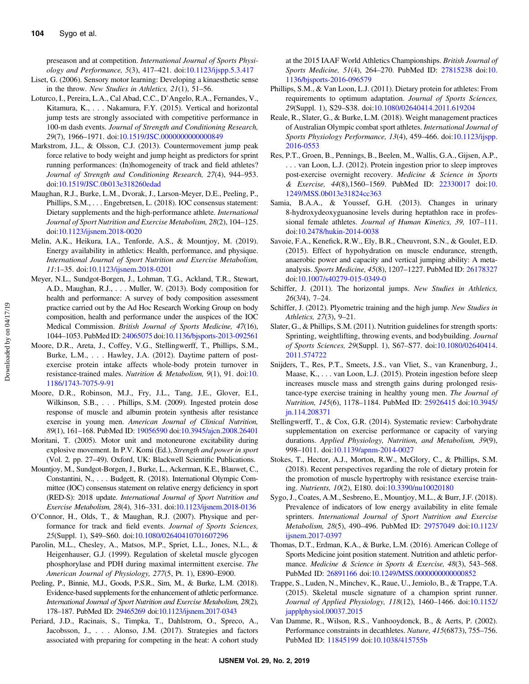<span id="page-9-0"></span>preseason and at competition. International Journal of Sports Physiology and Performance, 5(3), 417–421. doi:[10.1123/ijspp.5.3.417](https://doi.org/10.1123/ijspp.5.3.417)

- Liset, G. (2006). Sensory motor learning: Developing a kinaesthetic sense in the throw. New Studies in Athletics, 21(1), 51–56.
- Loturco, I., Pereira, L.A., Cal Abad, C.C., D'Angelo, R.A., Fernandes, V., Kitamura, K., . . . Nakamura, F.Y. (2015). Vertical and horizontal jump tests are strongly associated with competitive performance in 100-m dash events. Journal of Strength and Conditioning Research, 29(7), 1966–1971. doi:[10.1519/JSC.0000000000000849](https://doi.org/10.1519/JSC.0000000000000849)
- Markstrom, J.L., & Olsson, C.J. (2013). Countermovement jump peak force relative to body weight and jump height as predictors for sprint running performances: (In)homogeneity of track and field athletes? Journal of Strength and Conditioning Research, 27(4), 944–953. doi:[10.1519/JSC.0b013e318260edad](https://doi.org/10.1519/JSC.0b013e318260edad)
- Maughan, R.J., Burke, L.M., Dvorak, J., Larson-Meyer, D.E., Peeling, P., Phillips, S.M., . . . Engebretsen, L. (2018). IOC consensus statement: Dietary supplements and the high-performance athlete. International Journal of Sport Nutrition and Exercise Metabolism, 28(2), 104–125. doi:[10.1123/ijsnem.2018-0020](https://doi.org/10.1123/ijsnem.2018-0020)
- Melin, A.K., Heikura, I.A., Tenforde, A.S., & Mountjoy, M. (2019). Energy availability in athletics: Health, performance, and physique. International Journal of Sport Nutrition and Exercise Metabolism, 11:1–35. doi[:10.1123/ijsnem.2018-0201](https://doi.org/10.1123/ijsnem.2018-0201)
- Meyer, N.L., Sundgot-Borgen, J., Lohman, T.G., Ackland, T.R., Stewart, A.D., Maughan, R.J., . . . Muller, W. (2013). Body composition for health and performance: A survey of body composition assessment practice carried out by the Ad Hoc Research Working Group on body composition, health and performance under the auspices of the IOC Medical Commission. British Journal of Sports Medicine, 47(16), 1044–1053. PubMed ID: [24065075](http://www.ncbi.nlm.nih.gov/pubmed/24065075?dopt=Abstract) doi:[10.1136/bjsports-2013-092561](https://doi.org/10.1136/bjsports-2013-092561)
- Moore, D.R., Areta, J., Coffey, V.G., Stellingwerff, T., Phillips, S.M., Burke, L.M., . . . Hawley, J.A. (2012). Daytime pattern of postexercise protein intake affects whole-body protein turnover in resistance-trained males. Nutrition & Metabolism, 9(1), 91. doi:[10.](https://doi.org/10.1186/1743-7075-9-91) [1186/1743-7075-9-91](https://doi.org/10.1186/1743-7075-9-91)
- Moore, D.R., Robinson, M.J., Fry, J.L., Tang, J.E., Glover, E.I., Wilkinson, S.B., . . . Phillips, S.M. (2009). Ingested protein dose response of muscle and albumin protein synthesis after resistance exercise in young men. American Journal of Clinical Nutrition, 89(1), 161–168. PubMed ID: [19056590](http://www.ncbi.nlm.nih.gov/pubmed/19056590?dopt=Abstract) doi:[10.3945/ajcn.2008.26401](https://doi.org/10.3945/ajcn.2008.26401)
- Moritani, T. (2005). Motor unit and motoneurone excitability during explosive movement. In P.V. Komi (Ed.), Strength and power in sport (Vol. 2, pp. 27–49). Oxford, UK: Blackwell Scientific Publications.
- Mountjoy, M., Sundgot-Borgen, J., Burke, L., Ackerman, K.E., Blauwet, C., Constantini, N., . . . Budgett, R. (2018). International Olympic Committee (IOC) consensus statement on relative energy deficiency in sport (RED-S): 2018 update. International Journal of Sport Nutrition and Exercise Metabolism, 28(4), 316–331. doi[:10.1123/ijsnem.2018-0136](https://doi.org/10.1123/ijsnem.2018-0136)
- O'Connor, H., Olds, T., & Maughan, R.J. (2007). Physique and performance for track and field events. Journal of Sports Sciences, 25(Suppl. 1), S49–S60. doi[:10.1080/02640410701607296](https://doi.org/10.1080/02640410701607296)
- Parolin, M.L., Chesley, A., Matsos, M.P., Spriet, L.L., Jones, N.L., & Heigenhauser, G.J. (1999). Regulation of skeletal muscle glycogen phosphorylase and PDH during maximal intermittent exercise. The American Journal of Physiology, 277(5, Pt. 1), E890–E900.
- Peeling, P., Binnie, M.J., Goods, P.S.R., Sim, M., & Burke, L.M. (2018). Evidence-based supplements for the enhancement of athletic performance. International Journal of Sport Nutrition and Exercise Metabolism, 28(2), 178–187. PubMed ID: [29465269](http://www.ncbi.nlm.nih.gov/pubmed/29465269?dopt=Abstract) doi[:10.1123/ijsnem.2017-0343](https://doi.org/10.1123/ijsnem.2017-0343)
- Periard, J.D., Racinais, S., Timpka, T., Dahlstrom, O., Spreco, A., Jacobsson, J., . . . Alonso, J.M. (2017). Strategies and factors associated with preparing for competing in the heat: A cohort study

at the 2015 IAAF World Athletics Championships. British Journal of Sports Medicine, 51(4), 264–270. PubMed ID: [27815238](http://www.ncbi.nlm.nih.gov/pubmed/27815238?dopt=Abstract) doi:[10.](https://doi.org/10.1136/bjsports-2016-096579) [1136/bjsports-2016-096579](https://doi.org/10.1136/bjsports-2016-096579)

- Phillips, S.M., & Van Loon, L.J. (2011). Dietary protein for athletes: From requirements to optimum adaptation. Journal of Sports Sciences, 29(Suppl. 1), S29–S38. doi[:10.1080/02640414.2011.619204](https://doi.org/10.1080/02640414.2011.619204)
- Reale, R., Slater, G., & Burke, L.M. (2018). Weight management practices of Australian Olympic combat sport athletes. International Journal of Sports Physiology Performance, 13(4), 459–466. doi:[10.1123/ijspp.](https://doi.org/10.1123/ijspp.2016-0553) [2016-0553](https://doi.org/10.1123/ijspp.2016-0553)
- Res, P.T., Groen, B., Pennings, B., Beelen, M., Wallis, G.A., Gijsen, A.P., . . . van Loon, L.J. (2012). Protein ingestion prior to sleep improves post-exercise overnight recovery. Medicine & Science in Sports & Exercise, 44(8),1560–1569. PubMed ID: [22330017](http://www.ncbi.nlm.nih.gov/pubmed/22330017?dopt=Abstract) doi:[10.](https://doi.org/10.1249/MSS.0b013e31824cc363) [1249/MSS.0b013e31824cc363](https://doi.org/10.1249/MSS.0b013e31824cc363)
- Samia, B.A.A., & Youssef, G.H. (2013). Changes in urinary 8-hydroxydeoxyguanosine levels during heptathlon race in professional female athletes. Journal of Human Kinetics, 39, 107–111. doi:[10.2478/hukin-2014-0038](https://doi.org/10.2478/hukin-2014-0038)
- Savoie, F.A., Kenefick, R.W., Ely, B.R., Cheuvront, S.N., & Goulet, E.D. (2015). Effect of hypohydration on muscle endurance, strength, anaerobic power and capacity and vertical jumping ability: A metaanalysis. Sports Medicine, 45(8), 1207–1227. PubMed ID: [26178327](http://www.ncbi.nlm.nih.gov/pubmed/26178327?dopt=Abstract) doi:[10.1007/s40279-015-0349-0](https://doi.org/10.1007/s40279-015-0349-0)
- Schiffer, J. (2011). The horizontal jumps. New Studies in Athletics, 26(3/4), 7–24.
- Schiffer, J. (2012). Plyometric training and the high jump. New Studies in Athletics, 27(3), 9–21.
- Slater, G., & Phillips, S.M. (2011). Nutrition guidelines for strength sports: Sprinting, weightlifting, throwing events, and bodybuilding. Journal of Sports Sciences, 29(Suppl. 1), S67–S77. doi[:10.1080/02640414.](https://doi.org/10.1080/02640414.2011.574722) [2011.574722](https://doi.org/10.1080/02640414.2011.574722)
- Snijders, T., Res, P.T., Smeets, J.S., van Vliet, S., van Kranenburg, J., Maase, K., . . . van Loon, L.J. (2015). Protein ingestion before sleep increases muscle mass and strength gains during prolonged resistance-type exercise training in healthy young men. The Journal of Nutrition, 145(6), 1178–1184. PubMed ID: [25926415](http://www.ncbi.nlm.nih.gov/pubmed/25926415?dopt=Abstract) doi[:10.3945/](https://doi.org/10.3945/jn.114.208371) [jn.114.208371](https://doi.org/10.3945/jn.114.208371)
- Stellingwerff, T., & Cox, G.R. (2014). Systematic review: Carbohydrate supplementation on exercise performance or capacity of varying durations. Applied Physiology, Nutrition, and Metabolism, 39(9), 998–1011. doi:[10.1139/apnm-2014-0027](https://doi.org/10.1139/apnm-2014-0027)
- Stokes, T., Hector, A.J., Morton, R.W., McGlory, C., & Phillips, S.M. (2018). Recent perspectives regarding the role of dietary protein for the promotion of muscle hypertrophy with resistance exercise training. Nutrients, 10(2), E180. doi[:10.3390/nu10020180](https://doi.org/10.3390/nu10020180)
- Sygo, J., Coates, A.M., Sesbreno, E., Mountjoy, M.L., & Burr, J.F. (2018). Prevalence of indicators of low energy availability in elite female sprinters. International Journal of Sport Nutrition and Exercise Metabolism, 28(5), 490–496. PubMed ID: [29757049](http://www.ncbi.nlm.nih.gov/pubmed/29757049?dopt=Abstract) doi[:10.1123/](https://doi.org/10.1123/ijsnem.2017-0397) [ijsnem.2017-0397](https://doi.org/10.1123/ijsnem.2017-0397)
- Thomas, D.T., Erdman, K.A., & Burke, L.M. (2016). American College of Sports Medicine joint position statement. Nutrition and athletic performance. Medicine & Science in Sports & Exercise, 48(3), 543-568. PubMed ID: [26891166](http://www.ncbi.nlm.nih.gov/pubmed/26891166?dopt=Abstract) doi[:10.1249/MSS.0000000000000852](https://doi.org/10.1249/MSS.0000000000000852)
- Trappe, S., Luden, N., Minchev, K., Raue, U., Jemiolo, B., & Trappe, T.A. (2015). Skeletal muscle signature of a champion sprint runner. Journal of Applied Physiology, 118(12), 1460–1466. doi[:10.1152/](https://doi.org/10.1152/japplphysiol.00037.2015) [japplphysiol.00037.2015](https://doi.org/10.1152/japplphysiol.00037.2015)
- Van Damme, R., Wilson, R.S., Vanhooydonck, B., & Aerts, P. (2002). Performance constraints in decathletes. Nature, 415(6873), 755–756. PubMed ID: [11845199](http://www.ncbi.nlm.nih.gov/pubmed/11845199?dopt=Abstract) doi:[10.1038/415755b](https://doi.org/10.1038/415755b)